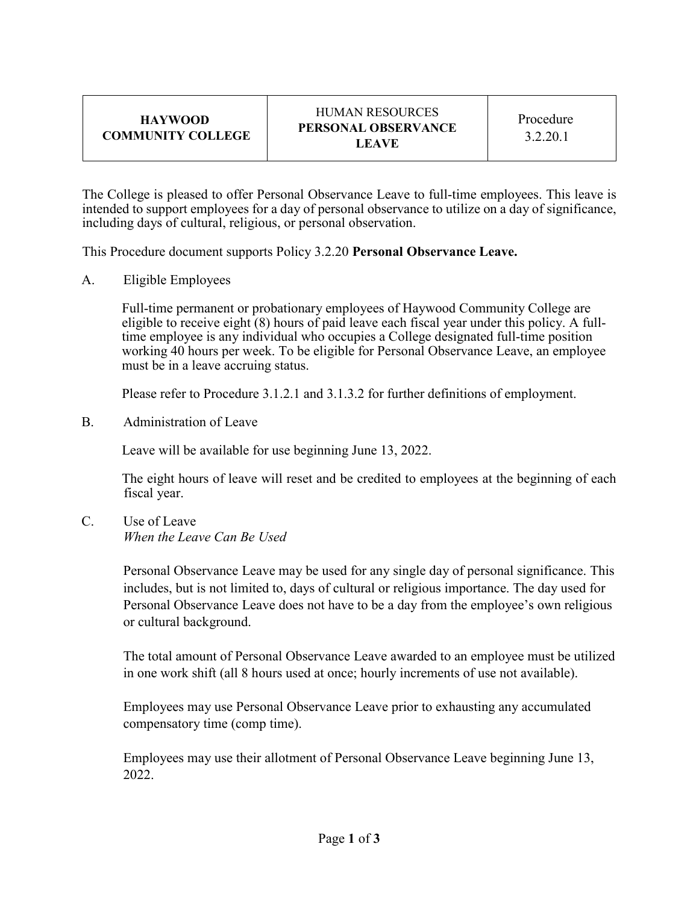| <b>HAYWOOD</b>    |
|-------------------|
| COMMUNITY COLLEGE |

The College is pleased to offer Personal Observance Leave to full-time employees. This leave is intended to support employees for a day of personal observance to utilize on a day of significance, including days of cultural, religious, or personal observation.

This Procedure document supports Policy 3.2.20 **Personal Observance Leave.** 

A. Eligible Employees

Full-time permanent or probationary employees of Haywood Community College are eligible to receive eight (8) hours of paid leave each fiscal year under this policy. A fulltime employee is any individual who occupies a College designated full-time position working 40 hours per week. To be eligible for Personal Observance Leave, an employee must be in a leave accruing status.

Please refer to Procedure 3.1.2.1 and 3.1.3.2 for further definitions of employment.

B. Administration of Leave

Leave will be available for use beginning June 13, 2022.

The eight hours of leave will reset and be credited to employees at the beginning of each fiscal year.

C. Use of Leave *When the Leave Can Be Used* 

> Personal Observance Leave may be used for any single day of personal significance. This includes, but is not limited to, days of cultural or religious importance. The day used for Personal Observance Leave does not have to be a day from the employee's own religious or cultural background.

> The total amount of Personal Observance Leave awarded to an employee must be utilized in one work shift (all 8 hours used at once; hourly increments of use not available).

Employees may use Personal Observance Leave prior to exhausting any accumulated compensatory time (comp time).

Employees may use their allotment of Personal Observance Leave beginning June 13, 2022.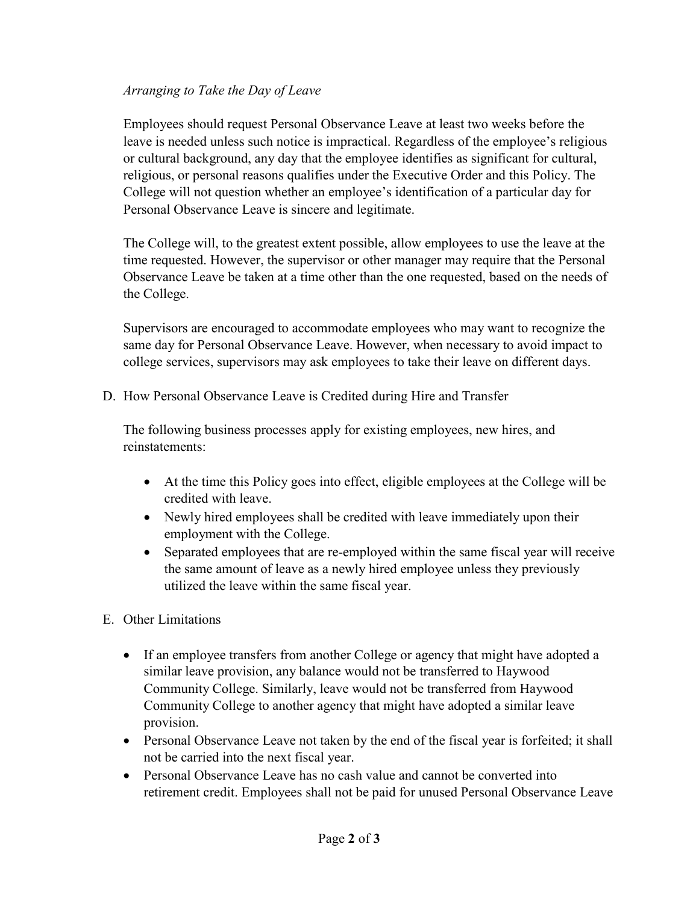## *Arranging to Take the Day of Leave*

Employees should request Personal Observance Leave at least two weeks before the leave is needed unless such notice is impractical. Regardless of the employee's religious or cultural background, any day that the employee identifies as significant for cultural, religious, or personal reasons qualifies under the Executive Order and this Policy. The College will not question whether an employee's identification of a particular day for Personal Observance Leave is sincere and legitimate.

The College will, to the greatest extent possible, allow employees to use the leave at the time requested. However, the supervisor or other manager may require that the Personal Observance Leave be taken at a time other than the one requested, based on the needs of the College.

Supervisors are encouraged to accommodate employees who may want to recognize the same day for Personal Observance Leave. However, when necessary to avoid impact to college services, supervisors may ask employees to take their leave on different days.

D. How Personal Observance Leave is Credited during Hire and Transfer

The following business processes apply for existing employees, new hires, and reinstatements:

- At the time this Policy goes into effect, eligible employees at the College will be credited with leave.
- Newly hired employees shall be credited with leave immediately upon their employment with the College.
- Separated employees that are re-employed within the same fiscal year will receive the same amount of leave as a newly hired employee unless they previously utilized the leave within the same fiscal year.
- E. Other Limitations
	- If an employee transfers from another College or agency that might have adopted a similar leave provision, any balance would not be transferred to Haywood Community College. Similarly, leave would not be transferred from Haywood Community College to another agency that might have adopted a similar leave provision.
	- Personal Observance Leave not taken by the end of the fiscal year is forfeited; it shall not be carried into the next fiscal year.
	- Personal Observance Leave has no cash value and cannot be converted into retirement credit. Employees shall not be paid for unused Personal Observance Leave